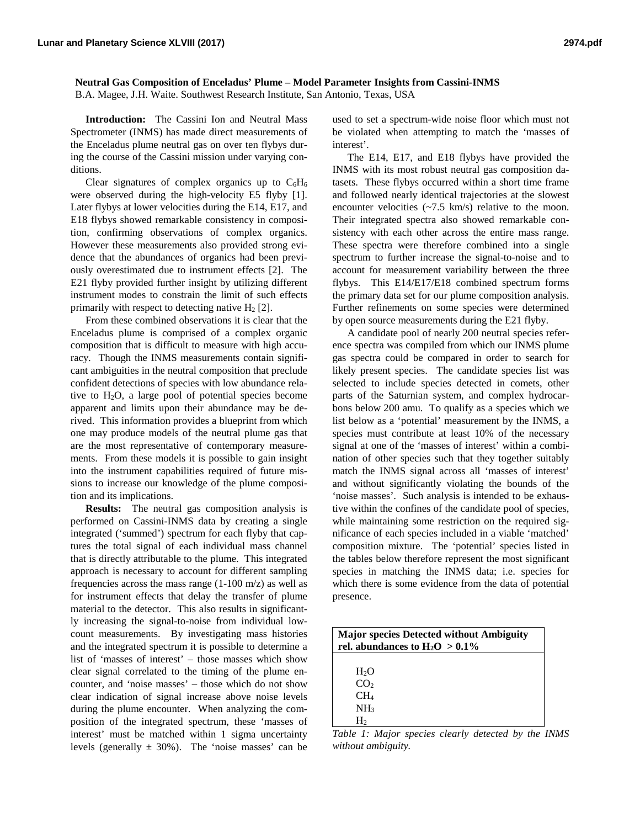## **Neutral Gas Composition of Enceladus' Plume – Model Parameter Insights from Cassini-INMS**

B.A. Magee, J.H. Waite. Southwest Research Institute, San Antonio, Texas, USA

**Introduction:** The Cassini Ion and Neutral Mass Spectrometer (INMS) has made direct measurements of the Enceladus plume neutral gas on over ten flybys during the course of the Cassini mission under varying conditions.

Clear signatures of complex organics up to  $C_6H_6$ were observed during the high-velocity E5 flyby [1]. Later flybys at lower velocities during the E14, E17, and E18 flybys showed remarkable consistency in composition, confirming observations of complex organics. However these measurements also provided strong evidence that the abundances of organics had been previously overestimated due to instrument effects [2]. The E21 flyby provided further insight by utilizing different instrument modes to constrain the limit of such effects primarily with respect to detecting native  $H_2$  [2].

From these combined observations it is clear that the Enceladus plume is comprised of a complex organic composition that is difficult to measure with high accuracy. Though the INMS measurements contain significant ambiguities in the neutral composition that preclude confident detections of species with low abundance relative to  $H_2O$ , a large pool of potential species become apparent and limits upon their abundance may be derived. This information provides a blueprint from which one may produce models of the neutral plume gas that are the most representative of contemporary measurements. From these models it is possible to gain insight into the instrument capabilities required of future missions to increase our knowledge of the plume composition and its implications.

**Results:** The neutral gas composition analysis is performed on Cassini-INMS data by creating a single integrated ('summed') spectrum for each flyby that captures the total signal of each individual mass channel that is directly attributable to the plume. This integrated approach is necessary to account for different sampling frequencies across the mass range (1-100 m/z) as well as for instrument effects that delay the transfer of plume material to the detector. This also results in significantly increasing the signal-to-noise from individual lowcount measurements. By investigating mass histories and the integrated spectrum it is possible to determine a list of 'masses of interest' – those masses which show clear signal correlated to the timing of the plume encounter, and 'noise masses' – those which do not show clear indication of signal increase above noise levels during the plume encounter. When analyzing the composition of the integrated spectrum, these 'masses of interest' must be matched within 1 sigma uncertainty levels (generally  $\pm$  30%). The 'noise masses' can be used to set a spectrum-wide noise floor which must not be violated when attempting to match the 'masses of interest'.

The E14, E17, and E18 flybys have provided the INMS with its most robust neutral gas composition datasets. These flybys occurred within a short time frame and followed nearly identical trajectories at the slowest encounter velocities (~7.5 km/s) relative to the moon. Their integrated spectra also showed remarkable consistency with each other across the entire mass range. These spectra were therefore combined into a single spectrum to further increase the signal-to-noise and to account for measurement variability between the three flybys. This E14/E17/E18 combined spectrum forms the primary data set for our plume composition analysis. Further refinements on some species were determined by open source measurements during the E21 flyby.

A candidate pool of nearly 200 neutral species reference spectra was compiled from which our INMS plume gas spectra could be compared in order to search for likely present species. The candidate species list was selected to include species detected in comets, other parts of the Saturnian system, and complex hydrocarbons below 200 amu. To qualify as a species which we list below as a 'potential' measurement by the INMS, a species must contribute at least 10% of the necessary signal at one of the 'masses of interest' within a combination of other species such that they together suitably match the INMS signal across all 'masses of interest' and without significantly violating the bounds of the 'noise masses'. Such analysis is intended to be exhaustive within the confines of the candidate pool of species, while maintaining some restriction on the required significance of each species included in a viable 'matched' composition mixture. The 'potential' species listed in the tables below therefore represent the most significant species in matching the INMS data; i.e. species for which there is some evidence from the data of potential presence.

| <b>Major species Detected without Ambiguity</b><br>rel. abundances to $H_2O > 0.1\%$ |  |  |
|--------------------------------------------------------------------------------------|--|--|
|                                                                                      |  |  |
| H <sub>2</sub> O<br>CO <sub>2</sub>                                                  |  |  |
| CH <sub>4</sub>                                                                      |  |  |
| NH <sub>3</sub>                                                                      |  |  |
| H۶                                                                                   |  |  |

*Table 1: Major species clearly detected by the INMS without ambiguity.*